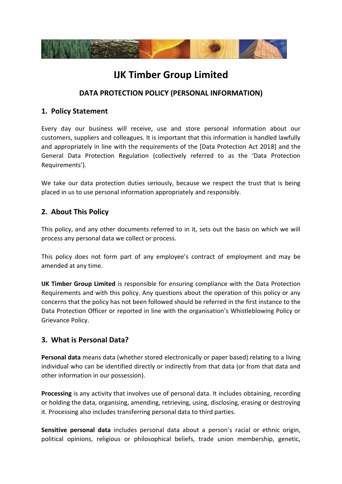

# **IJK Timber Group Limited**

# **DATA PROTECTION POLICY (PERSONAL INFORMATION)**

#### **1. Policy Statement**

Every day our business will receive, use and store personal information about our customers, suppliers and colleagues. It is important that this information is handled lawfully and appropriately in line with the requirements of the [Data Protection Act 2018] and the General Data Protection Regulation (collectively referred to as the 'Data Protection Requirements').

We take our data protection duties seriously, because we respect the trust that is being placed in us to use personal information appropriately and responsibly.

## **2. About This Policy**

This policy, and any other documents referred to in it, sets out the basis on which we will process any personal data we collect or process.

This policy does not form part of any employee's contract of employment and may be amended at any time.

**IJK Timber Group Limited** is responsible for ensuring compliance with the Data Protection Requirements and with this policy. Any questions about the operation of this policy or any concerns that the policy has not been followed should be referred in the first instance to the Data Protection Officer or reported in line with the organisation's Whistleblowing Policy or Grievance Policy.

## **3. What is Personal Data?**

**Personal data** means data (whether stored electronically or paper based) relating to a living individual who can be identified directly or indirectly from that data (or from that data and other information in our possession).

**Processing** is any activity that involves use of personal data. It includes obtaining, recording or holding the data, organising, amending, retrieving, using, disclosing, erasing or destroying it. Processing also includes transferring personal data to third parties.

**Sensitive personal data** includes personal data about a person's racial or ethnic origin, political opinions, religious or philosophical beliefs, trade union membership, genetic,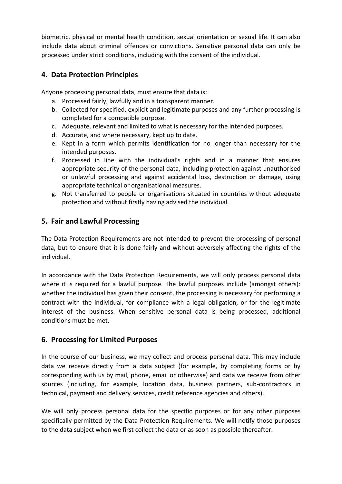biometric, physical or mental health condition, sexual orientation or sexual life. It can also include data about criminal offences or convictions. Sensitive personal data can only be processed under strict conditions, including with the consent of the individual.

## **4. Data Protection Principles**

Anyone processing personal data, must ensure that data is:

- a. Processed fairly, lawfully and in a transparent manner.
- b. Collected for specified, explicit and legitimate purposes and any further processing is completed for a compatible purpose.
- c. Adequate, relevant and limited to what is necessary for the intended purposes.
- d. Accurate, and where necessary, kept up to date.
- e. Kept in a form which permits identification for no longer than necessary for the intended purposes.
- f. Processed in line with the individual's rights and in a manner that ensures appropriate security of the personal data, including protection against unauthorised or unlawful processing and against accidental loss, destruction or damage, using appropriate technical or organisational measures.
- g. Not transferred to people or organisations situated in countries without adequate protection and without firstly having advised the individual.

## **5. Fair and Lawful Processing**

The Data Protection Requirements are not intended to prevent the processing of personal data, but to ensure that it is done fairly and without adversely affecting the rights of the individual.

In accordance with the Data Protection Requirements, we will only process personal data where it is required for a lawful purpose. The lawful purposes include (amongst others): whether the individual has given their consent, the processing is necessary for performing a contract with the individual, for compliance with a legal obligation, or for the legitimate interest of the business. When sensitive personal data is being processed, additional conditions must be met.

#### **6. Processing for Limited Purposes**

In the course of our business, we may collect and process personal data. This may include data we receive directly from a data subject (for example, by completing forms or by corresponding with us by mail, phone, email or otherwise) and data we receive from other sources (including, for example, location data, business partners, sub-contractors in technical, payment and delivery services, credit reference agencies and others).

We will only process personal data for the specific purposes or for any other purposes specifically permitted by the Data Protection Requirements. We will notify those purposes to the data subject when we first collect the data or as soon as possible thereafter.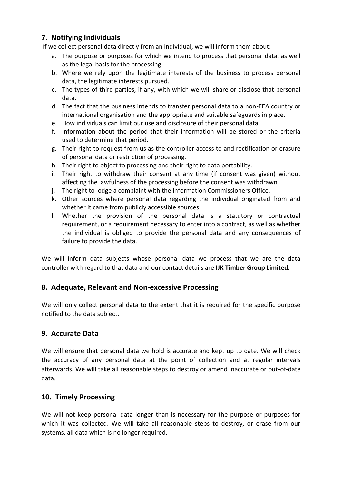# **7. Notifying Individuals**

If we collect personal data directly from an individual, we will inform them about:

- a. The purpose or purposes for which we intend to process that personal data, as well as the legal basis for the processing.
- b. Where we rely upon the legitimate interests of the business to process personal data, the legitimate interests pursued.
- c. The types of third parties, if any, with which we will share or disclose that personal data.
- d. The fact that the business intends to transfer personal data to a non-EEA country or international organisation and the appropriate and suitable safeguards in place.
- e. How individuals can limit our use and disclosure of their personal data.
- f. Information about the period that their information will be stored or the criteria used to determine that period.
- g. Their right to request from us as the controller access to and rectification or erasure of personal data or restriction of processing.
- h. Their right to object to processing and their right to data portability.
- i. Their right to withdraw their consent at any time (if consent was given) without affecting the lawfulness of the processing before the consent was withdrawn.
- j. The right to lodge a complaint with the Information Commissioners Office.
- k. Other sources where personal data regarding the individual originated from and whether it came from publicly accessible sources.
- l. Whether the provision of the personal data is a statutory or contractual requirement, or a requirement necessary to enter into a contract, as well as whether the individual is obliged to provide the personal data and any consequences of failure to provide the data.

We will inform data subjects whose personal data we process that we are the data controller with regard to that data and our contact details are **IJK Timber Group Limited.** 

#### **8. Adequate, Relevant and Non-excessive Processing**

We will only collect personal data to the extent that it is required for the specific purpose notified to the data subject.

#### **9. Accurate Data**

We will ensure that personal data we hold is accurate and kept up to date. We will check the accuracy of any personal data at the point of collection and at regular intervals afterwards. We will take all reasonable steps to destroy or amend inaccurate or out-of-date data.

#### **10. Timely Processing**

We will not keep personal data longer than is necessary for the purpose or purposes for which it was collected. We will take all reasonable steps to destroy, or erase from our systems, all data which is no longer required.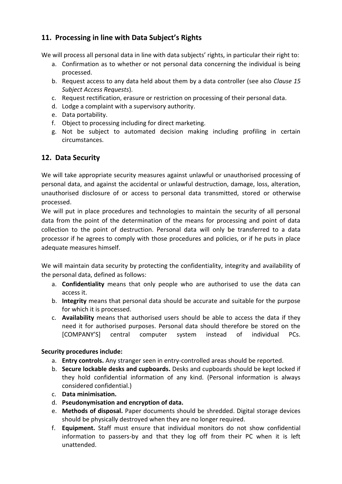# **11. Processing in line with Data Subject's Rights**

We will process all personal data in line with data subjects' rights, in particular their right to:

- a. Confirmation as to whether or not personal data concerning the individual is being processed.
- b. Request access to any data held about them by a data controller (see also *[Clause 15](#page-4-0) Subject Access Requests*).
- c. Request rectification, erasure or restriction on processing of their personal data.
- d. Lodge a complaint with a supervisory authority.
- e. Data portability.
- f. Object to processing including for direct marketing.
- g. Not be subject to automated decision making including profiling in certain circumstances.

# **12. Data Security**

We will take appropriate security measures against unlawful or unauthorised processing of personal data, and against the accidental or unlawful destruction, damage, loss, alteration, unauthorised disclosure of or access to personal data transmitted, stored or otherwise processed.

We will put in place procedures and technologies to maintain the security of all personal data from the point of the determination of the means for processing and point of data collection to the point of destruction. Personal data will only be transferred to a data processor if he agrees to comply with those procedures and policies, or if he puts in place adequate measures himself.

We will maintain data security by protecting the confidentiality, integrity and availability of the personal data, defined as follows:

- a. **Confidentiality** means that only people who are authorised to use the data can access it.
- b. **Integrity** means that personal data should be accurate and suitable for the purpose for which it is processed.
- c. **Availability** means that authorised users should be able to access the data if they need it for authorised purposes. Personal data should therefore be stored on the [COMPANY'S] central computer system instead of individual PCs.

#### **Security procedures include:**

- a. **Entry controls.** Any stranger seen in entry-controlled areas should be reported.
- b. **Secure lockable desks and cupboards.** Desks and cupboards should be kept locked if they hold confidential information of any kind. (Personal information is always considered confidential.)
- c. **Data minimisation.**
- d. **Pseudonymisation and encryption of data.**
- e. **Methods of disposal.** Paper documents should be shredded. Digital storage devices should be physically destroyed when they are no longer required.
- f. **Equipment.** Staff must ensure that individual monitors do not show confidential information to passers-by and that they log off from their PC when it is left unattended.